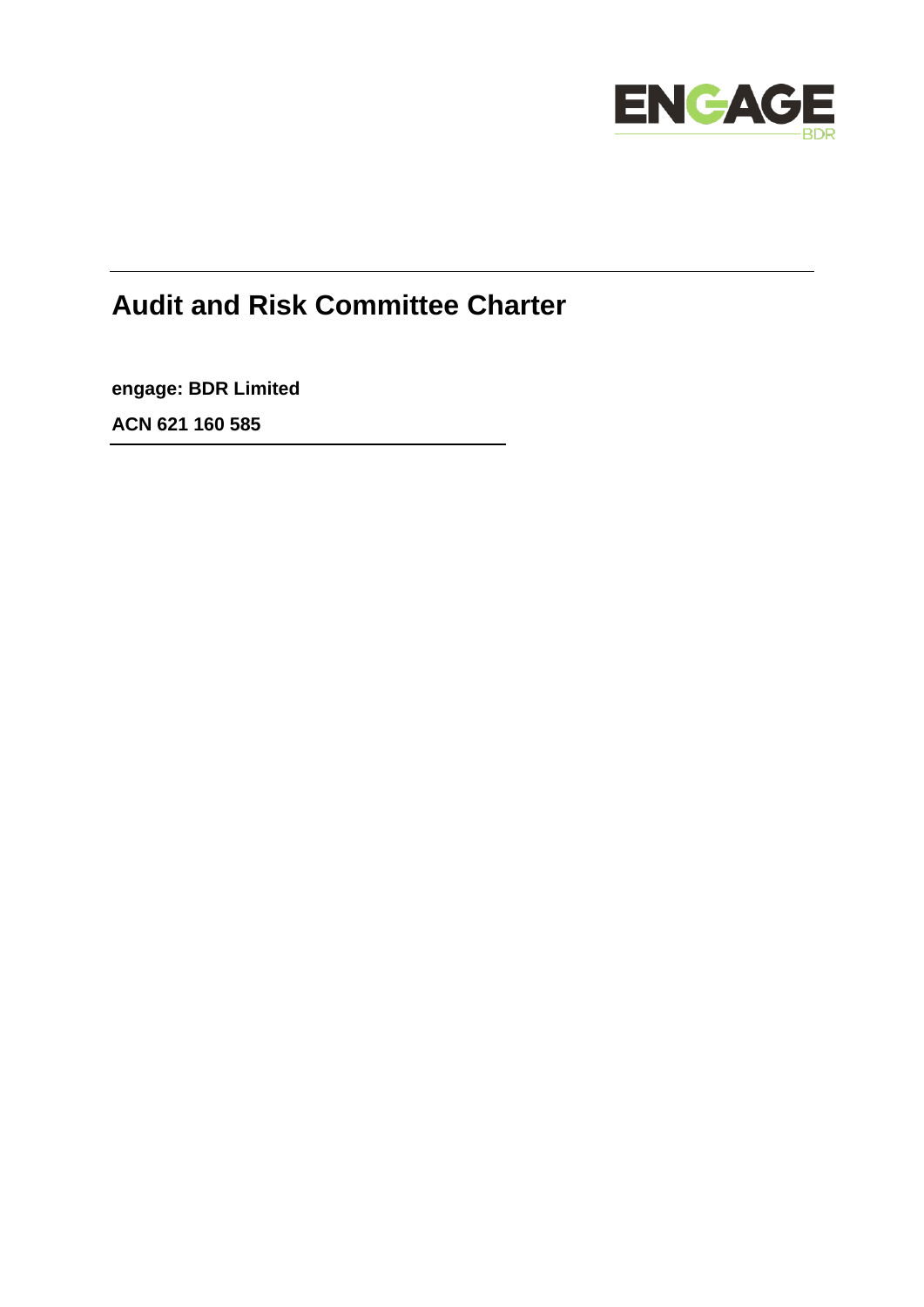

# **Audit and Risk Committee Charter**

**engage: BDR Limited**

**ACN 621 160 585**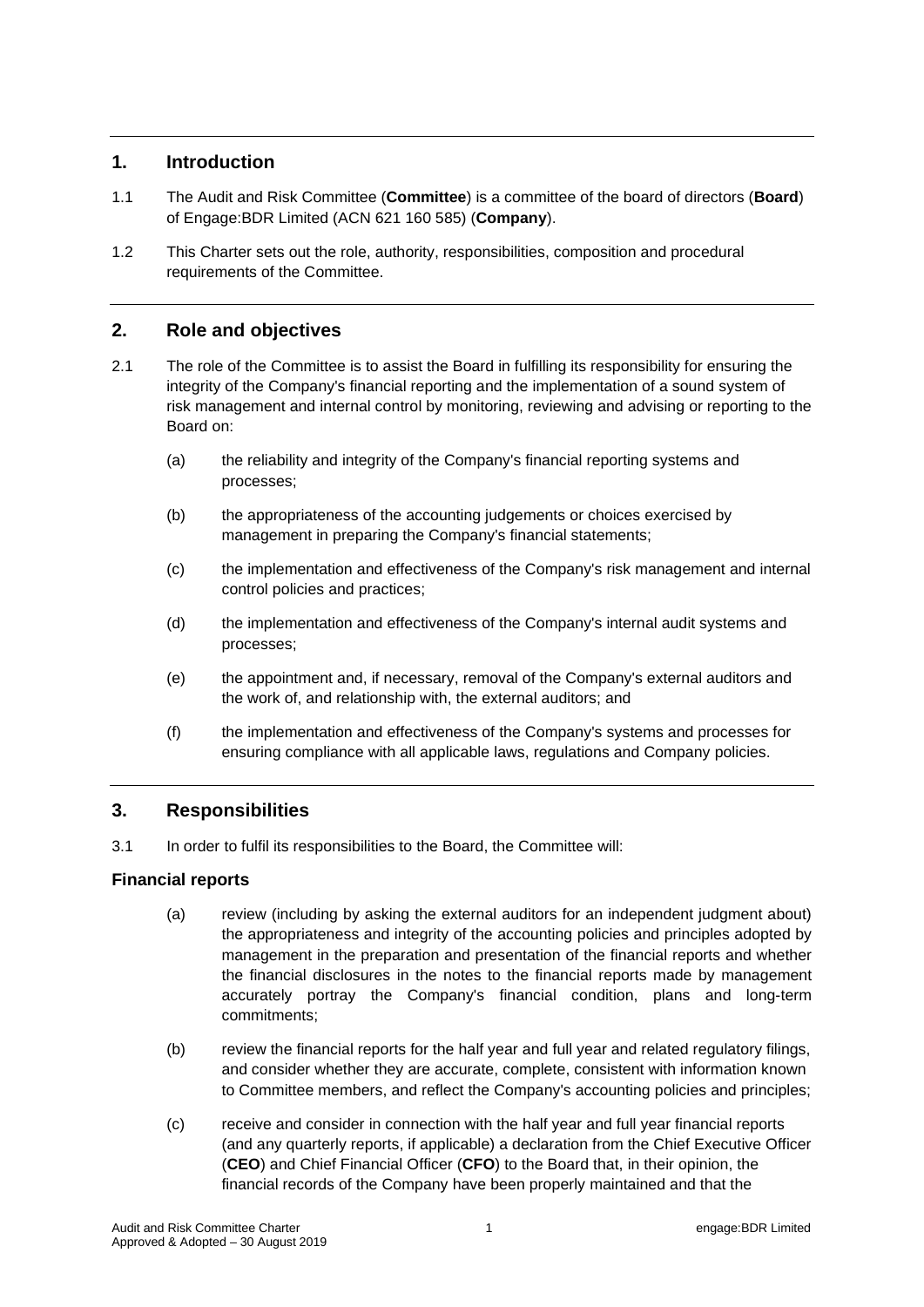# **1. Introduction**

- 1.1 The Audit and Risk Committee (**Committee**) is a committee of the board of directors (**Board**) of Engage:BDR Limited (ACN 621 160 585) (**Company**).
- 1.2 This Charter sets out the role, authority, responsibilities, composition and procedural requirements of the Committee.

# **2. Role and objectives**

- 2.1 The role of the Committee is to assist the Board in fulfilling its responsibility for ensuring the integrity of the Company's financial reporting and the implementation of a sound system of risk management and internal control by monitoring, reviewing and advising or reporting to the Board on:
	- (a) the reliability and integrity of the Company's financial reporting systems and processes;
	- (b) the appropriateness of the accounting judgements or choices exercised by management in preparing the Company's financial statements;
	- (c) the implementation and effectiveness of the Company's risk management and internal control policies and practices;
	- (d) the implementation and effectiveness of the Company's internal audit systems and processes;
	- (e) the appointment and, if necessary, removal of the Company's external auditors and the work of, and relationship with, the external auditors; and
	- (f) the implementation and effectiveness of the Company's systems and processes for ensuring compliance with all applicable laws, regulations and Company policies.

## **3. Responsibilities**

3.1 In order to fulfil its responsibilities to the Board, the Committee will:

## **Financial reports**

- (a) review (including by asking the external auditors for an independent judgment about) the appropriateness and integrity of the accounting policies and principles adopted by management in the preparation and presentation of the financial reports and whether the financial disclosures in the notes to the financial reports made by management accurately portray the Company's financial condition, plans and long-term commitments;
- (b) review the financial reports for the half year and full year and related regulatory filings, and consider whether they are accurate, complete, consistent with information known to Committee members, and reflect the Company's accounting policies and principles;
- (c) receive and consider in connection with the half year and full year financial reports (and any quarterly reports, if applicable) a declaration from the Chief Executive Officer (**CEO**) and Chief Financial Officer (**CFO**) to the Board that, in their opinion, the financial records of the Company have been properly maintained and that the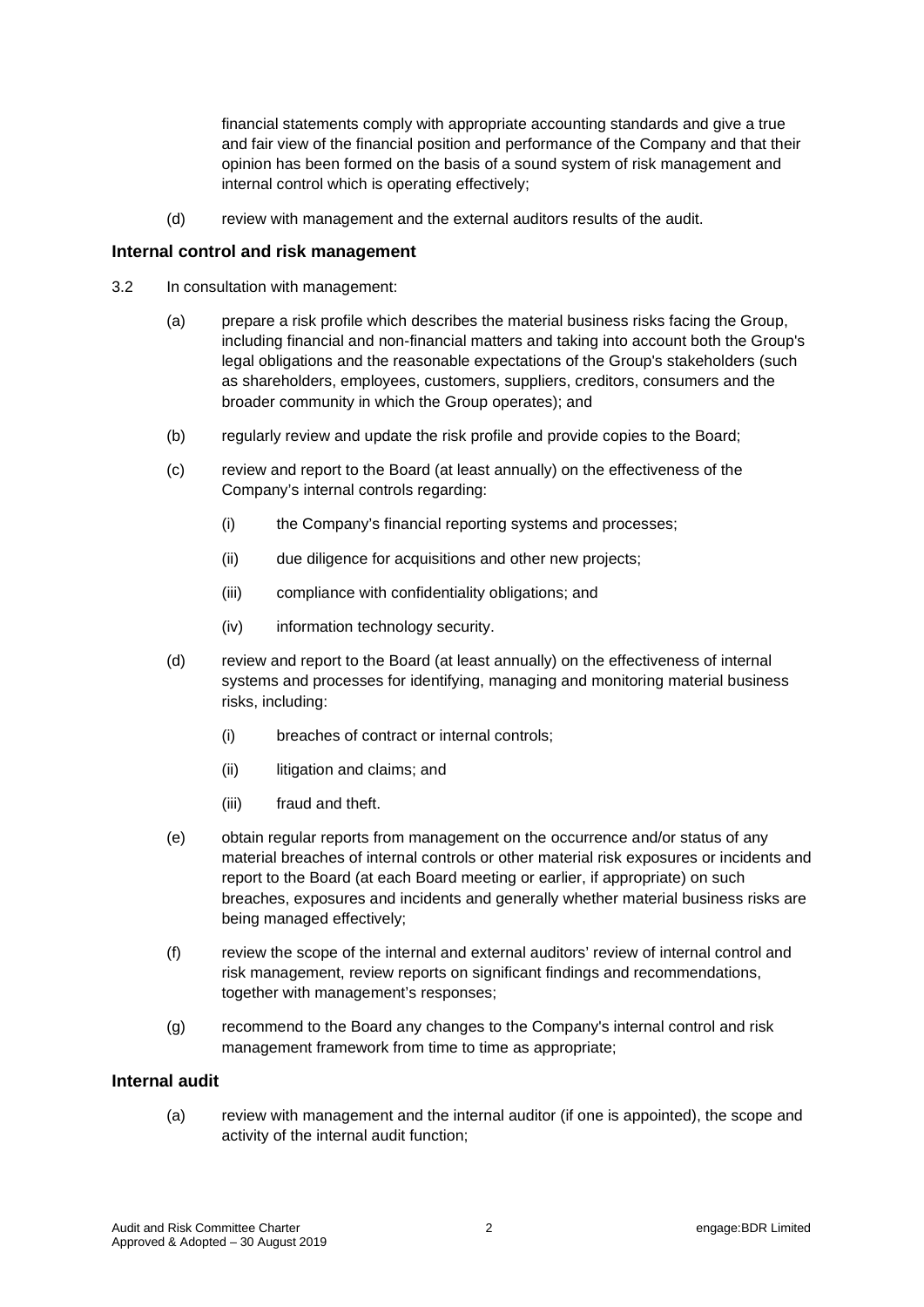financial statements comply with appropriate accounting standards and give a true and fair view of the financial position and performance of the Company and that their opinion has been formed on the basis of a sound system of risk management and internal control which is operating effectively;

(d) review with management and the external auditors results of the audit.

#### **Internal control and risk management**

- 3.2 In consultation with management:
	- (a) prepare a risk profile which describes the material business risks facing the Group, including financial and non-financial matters and taking into account both the Group's legal obligations and the reasonable expectations of the Group's stakeholders (such as shareholders, employees, customers, suppliers, creditors, consumers and the broader community in which the Group operates); and
	- (b) regularly review and update the risk profile and provide copies to the Board;
	- (c) review and report to the Board (at least annually) on the effectiveness of the Company's internal controls regarding:
		- (i) the Company's financial reporting systems and processes;
		- (ii) due diligence for acquisitions and other new projects;
		- (iii) compliance with confidentiality obligations; and
		- (iv) information technology security.
	- (d) review and report to the Board (at least annually) on the effectiveness of internal systems and processes for identifying, managing and monitoring material business risks, including:
		- (i) breaches of contract or internal controls;
		- (ii) litigation and claims; and
		- (iii) fraud and theft.
	- (e) obtain regular reports from management on the occurrence and/or status of any material breaches of internal controls or other material risk exposures or incidents and report to the Board (at each Board meeting or earlier, if appropriate) on such breaches, exposures and incidents and generally whether material business risks are being managed effectively;
	- (f) review the scope of the internal and external auditors' review of internal control and risk management, review reports on significant findings and recommendations, together with management's responses;
	- (g) recommend to the Board any changes to the Company's internal control and risk management framework from time to time as appropriate;

## **Internal audit**

(a) review with management and the internal auditor (if one is appointed), the scope and activity of the internal audit function;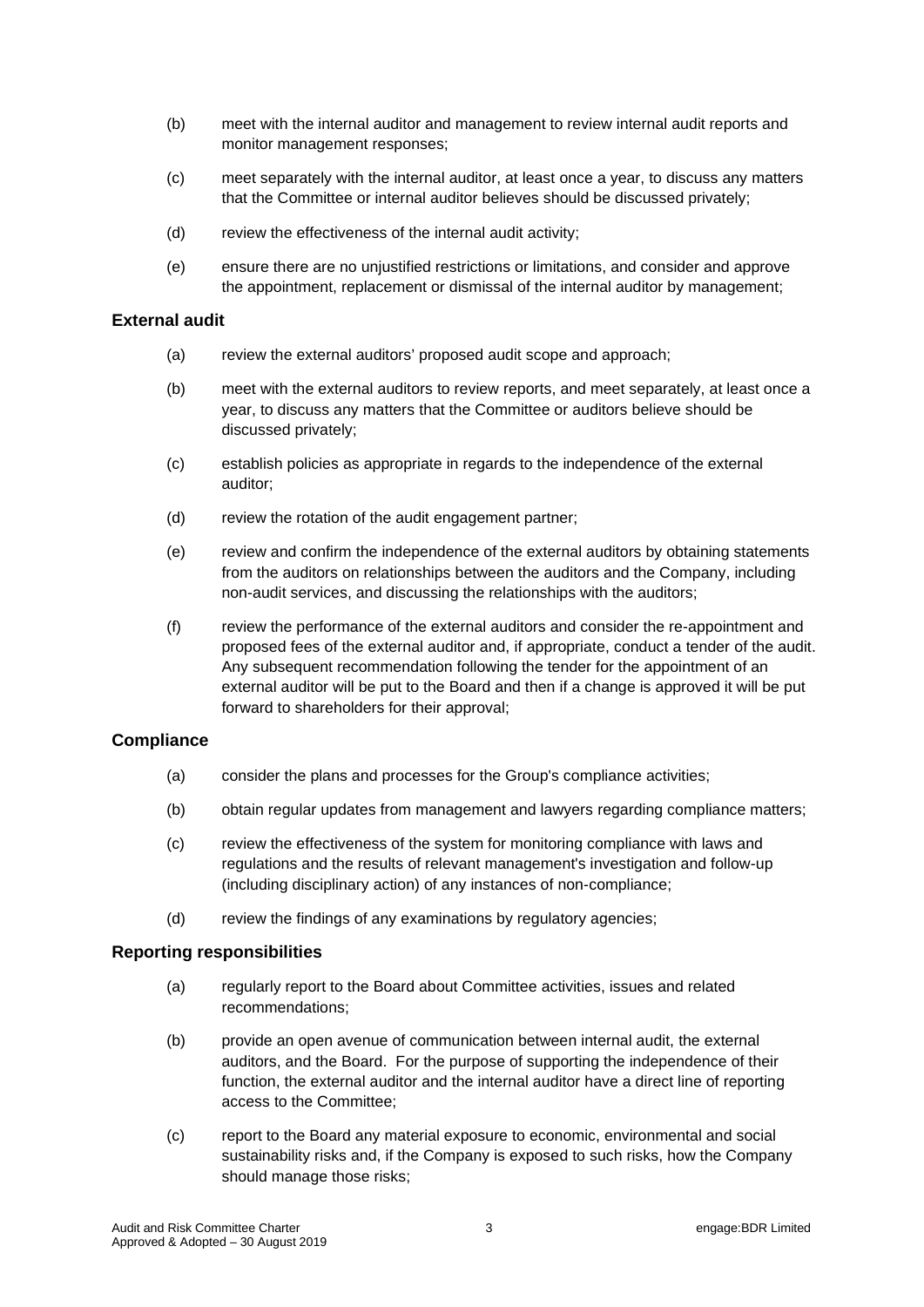- (b) meet with the internal auditor and management to review internal audit reports and monitor management responses;
- (c) meet separately with the internal auditor, at least once a year, to discuss any matters that the Committee or internal auditor believes should be discussed privately;
- (d) review the effectiveness of the internal audit activity;
- (e) ensure there are no unjustified restrictions or limitations, and consider and approve the appointment, replacement or dismissal of the internal auditor by management;

### **External audit**

- (a) review the external auditors' proposed audit scope and approach;
- (b) meet with the external auditors to review reports, and meet separately, at least once a year, to discuss any matters that the Committee or auditors believe should be discussed privately;
- (c) establish policies as appropriate in regards to the independence of the external auditor;
- (d) review the rotation of the audit engagement partner;
- (e) review and confirm the independence of the external auditors by obtaining statements from the auditors on relationships between the auditors and the Company, including non-audit services, and discussing the relationships with the auditors;
- (f) review the performance of the external auditors and consider the re-appointment and proposed fees of the external auditor and, if appropriate, conduct a tender of the audit. Any subsequent recommendation following the tender for the appointment of an external auditor will be put to the Board and then if a change is approved it will be put forward to shareholders for their approval;

#### **Compliance**

- (a) consider the plans and processes for the Group's compliance activities;
- (b) obtain regular updates from management and lawyers regarding compliance matters;
- (c) review the effectiveness of the system for monitoring compliance with laws and regulations and the results of relevant management's investigation and follow-up (including disciplinary action) of any instances of non-compliance;
- (d) review the findings of any examinations by regulatory agencies;

#### **Reporting responsibilities**

- (a) regularly report to the Board about Committee activities, issues and related recommendations;
- (b) provide an open avenue of communication between internal audit, the external auditors, and the Board. For the purpose of supporting the independence of their function, the external auditor and the internal auditor have a direct line of reporting access to the Committee;
- (c) report to the Board any material exposure to economic, environmental and social sustainability risks and, if the Company is exposed to such risks, how the Company should manage those risks;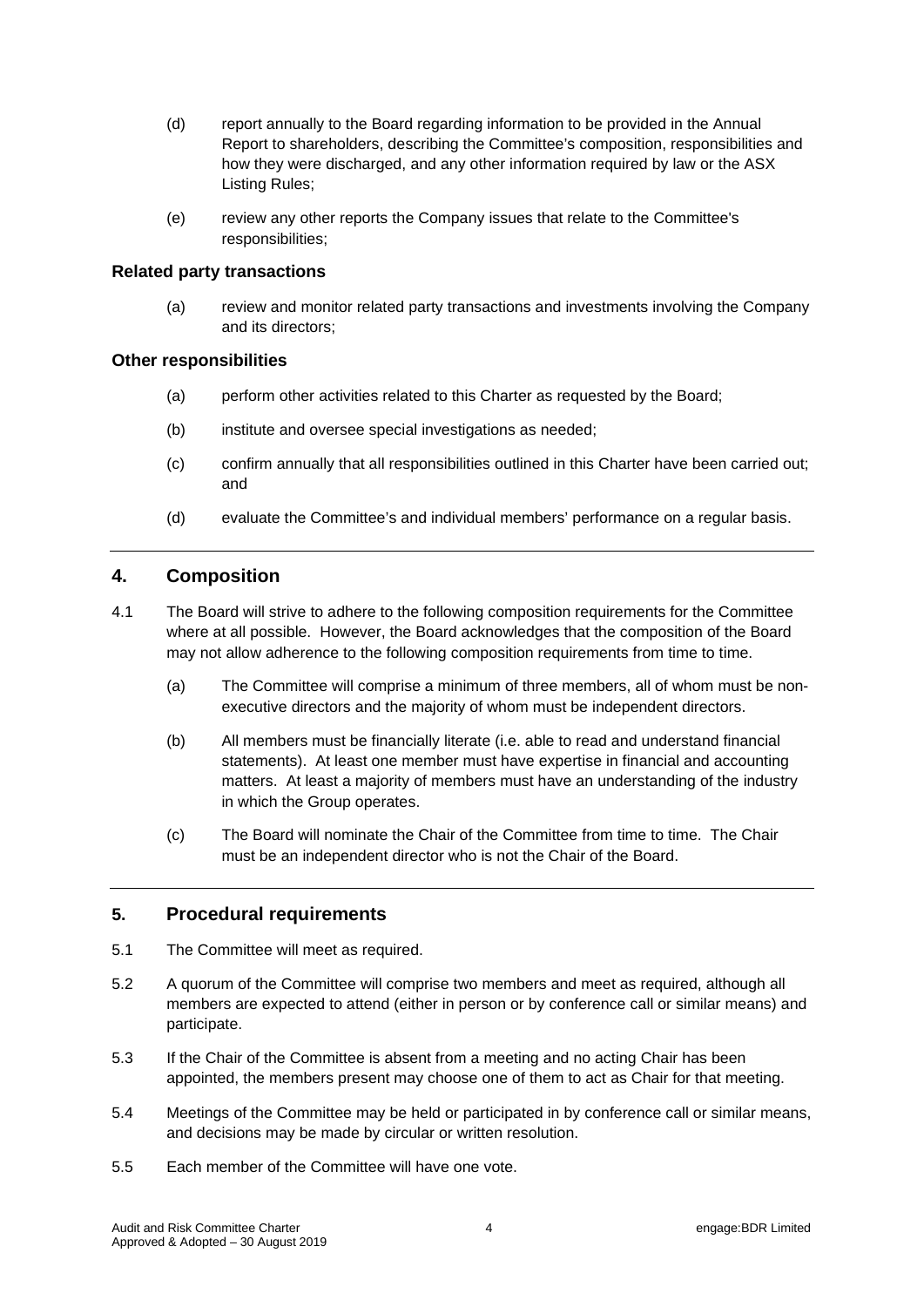- (d) report annually to the Board regarding information to be provided in the Annual Report to shareholders, describing the Committee's composition, responsibilities and how they were discharged, and any other information required by law or the ASX Listing Rules;
- (e) review any other reports the Company issues that relate to the Committee's responsibilities;

#### **Related party transactions**

(a) review and monitor related party transactions and investments involving the Company and its directors;

#### **Other responsibilities**

- (a) perform other activities related to this Charter as requested by the Board;
- (b) institute and oversee special investigations as needed;
- (c) confirm annually that all responsibilities outlined in this Charter have been carried out; and
- (d) evaluate the Committee's and individual members' performance on a regular basis.

## **4. Composition**

- 4.1 The Board will strive to adhere to the following composition requirements for the Committee where at all possible. However, the Board acknowledges that the composition of the Board may not allow adherence to the following composition requirements from time to time.
	- (a) The Committee will comprise a minimum of three members, all of whom must be nonexecutive directors and the majority of whom must be independent directors.
	- (b) All members must be financially literate (i.e. able to read and understand financial statements). At least one member must have expertise in financial and accounting matters. At least a majority of members must have an understanding of the industry in which the Group operates.
	- (c) The Board will nominate the Chair of the Committee from time to time. The Chair must be an independent director who is not the Chair of the Board.

## **5. Procedural requirements**

- 5.1 The Committee will meet as required.
- 5.2 A quorum of the Committee will comprise two members and meet as required, although all members are expected to attend (either in person or by conference call or similar means) and participate.
- 5.3 If the Chair of the Committee is absent from a meeting and no acting Chair has been appointed, the members present may choose one of them to act as Chair for that meeting.
- 5.4 Meetings of the Committee may be held or participated in by conference call or similar means, and decisions may be made by circular or written resolution.
- 5.5 Each member of the Committee will have one vote.